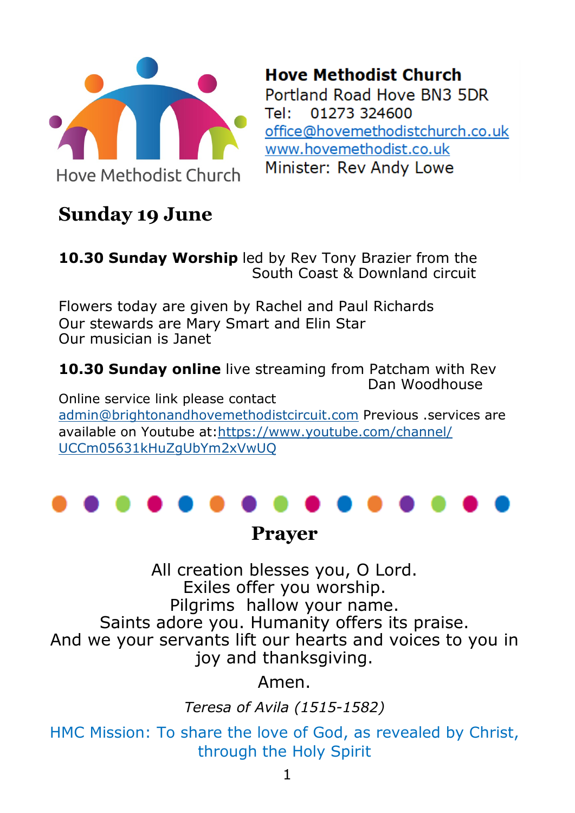

**Hove Methodist Church** Portland Road Hove BN3 5DR Tel: 01273 324600 office@hovemethodistchurch.co.uk www.hovemethodist.co.uk Minister: Rev Andy Lowe

## **Sunday 19 June**

**10.30 Sunday Worship** led by Rev Tony Brazier from the South Coast & Downland circuit

Flowers today are given by Rachel and Paul Richards Our stewards are Mary Smart and Elin Star Our musician is Janet

**10.30 Sunday online** live streaming from Patcham with Rev Dan Woodhouse

Online service link please contact [admin@brightonandhovemethodistcircuit.com](mailto:admin@brightonandhovemethodistcircuit.com) Previous .services are available on Youtube at:[https://www.youtube.com/channel/](https://www.youtube.com/channel/UCCm05631kHuZgUbYm2xVwUQ) [UCCm05631kHuZgUbYm2xVwUQ](https://www.youtube.com/channel/UCCm05631kHuZgUbYm2xVwUQ)



**Prayer**

All creation blesses you, O Lord. Exiles offer you worship. Pilgrims hallow your name. Saints adore you. Humanity offers its praise. And we your servants lift our hearts and voices to you in joy and thanksgiving.

Amen.

*Teresa of Avila (1515-1582)*

HMC Mission: To share the love of God, as revealed by Christ, through the Holy Spirit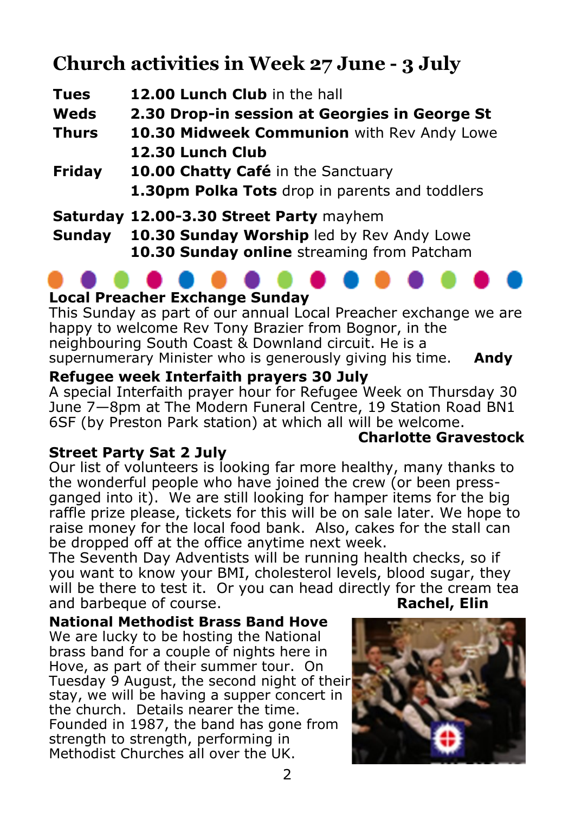# **Church activities in Week 27 June - 3 July**

| <b>Tues</b>  | 12.00 Lunch Club in the hall                   |
|--------------|------------------------------------------------|
| Weds         | 2.30 Drop-in session at Georgies in George St  |
| <b>Thurs</b> | 10.30 Midweek Communion with Rev Andy Lowe     |
|              | 12.30 Lunch Club                               |
| Friday       | 10.00 Chatty Café in the Sanctuary             |
|              | 1.30pm Polka Tots drop in parents and toddlers |
|              | Saturday 12.00-3.30 Street Party mayhem        |
| Sunday       | 10.30 Sunday Worship led by Rev Andy Lowe      |

**10.30 Sunday online** streaming from Patcham

#### **Local Preacher Exchange Sunday**

This Sunday as part of our annual Local Preacher exchange we are happy to welcome Rev Tony Brazier from Bognor, in the neighbouring South Coast & Downland circuit. He is a supernumerary Minister who is generously giving his time. **Andy**

#### **Refugee week Interfaith prayers 30 July**

A special Interfaith prayer hour for Refugee Week on Thursday 30 June 7—8pm at The Modern Funeral Centre, 19 Station Road BN1 6SF (by Preston Park station) at which all will be welcome.

#### **Street Party Sat 2 July**

Our list of volunteers is looking far more healthy, many thanks to the wonderful people who have joined the crew (or been pressganged into it). We are still looking for hamper items for the big raffle prize please, tickets for this will be on sale later. We hope to raise money for the local food bank. Also, cakes for the stall can be dropped off at the office anytime next week.

The Seventh Day Adventists will be running health checks, so if you want to know your BMI, cholesterol levels, blood sugar, they will be there to test it. Or you can head directly for the cream tea and barbeque of course. **Rachel, Elin**

**National Methodist Brass Band Hove** We are lucky to be hosting the National brass band for a couple of nights here in Hove, as part of their summer tour. On Tuesday 9 August, the second night of their stay, we will be having a supper concert in the church. Details nearer the time. Founded in 1987, the band has gone from strength to strength, performing in Methodist Churches all over the UK.



**Charlotte Gravestock**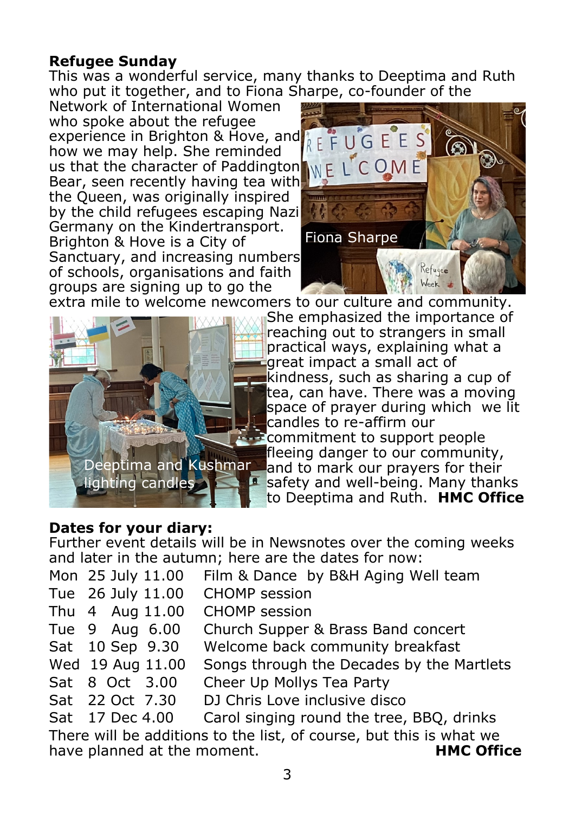#### **Refugee Sunday**

This was a wonderful service, many thanks to Deeptima and Ruth who put it together, and to Fiona Sharpe, co-founder of the

Network of International Women who spoke about the refugee experience in Brighton & Hove, and  $R \in F \cup G \in E$ how we may help. She reminded us that the character of Paddington  $\Box$ Bear, seen recently having tea with the Queen, was originally inspired by the child refugees escaping Nazi Germany on the Kindertransport. Brighton & Hove is a City of Sanctuary, and increasing numbers of schools, organisations and faith groups are signing up to go the





extra mile to welcome newcomers to our culture and community.

She emphasized the importance of reaching out to strangers in small practical ways, explaining what a great impact a small act of kindness, such as sharing a cup of tea, can have. There was a moving space of prayer during which we lit candles to re-affirm our **Example 10** commitment to support people fleeing danger to our community,

and to mark our pravers for their safety and well-being. Many thanks to Deeptima and Ruth. **HMC Office**

#### **Dates for your diary:**

Further event details will be in Newsnotes over the coming weeks and later in the autumn; here are the dates for now:

| Mon 25 July 11.00 | Film & Dance by B&H Aging Well team       |
|-------------------|-------------------------------------------|
| Tue 26 July 11.00 | <b>CHOMP</b> session                      |
| Thu 4 Aug 11.00   | <b>CHOMP</b> session                      |
| Tue 9 Aug 6.00    | Church Supper & Brass Band concert        |
| Sat 10 Sep 9.30   | Welcome back community breakfast          |
| Wed 19 Aug 11.00  | Songs through the Decades by the Martlets |
| Sat 8 Oct 3.00    | Cheer Up Mollys Tea Party                 |
| Sat 22 Oct 7.30   | DJ Chris Love inclusive disco             |
| Sat 17 Dec 4.00   | Carol singing round the tree, BBQ, drinks |
|                   |                                           |

There will be additions to the list, of course, but this is what we have planned at the moment. **HMC Office**